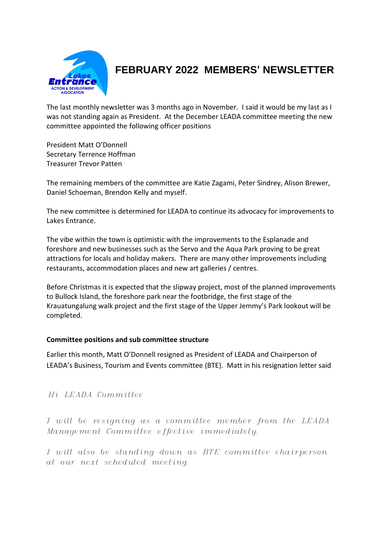

# **FEBRUARY 2022 MEMBERS' NEWSLETTER**

The last monthly newsletter was 3 months ago in November. I said it would be my last as I was not standing again as President. At the December LEADA committee meeting the new committee appointed the following officer positions

President Matt O'Donnell Secretary Terrence Hoffman Treasurer Trevor Patten

The remaining members of the committee are Katie Zagami, Peter Sindrey, Alison Brewer, Daniel Schoeman, Brendon Kelly and myself.

The new committee is determined for LEADA to continue its advocacy for improvements to Lakes Entrance.

The vibe within the town is optimistic with the improvements to the Esplanade and foreshore and new businesses such as the Servo and the Aqua Park proving to be great attractions for locals and holiday makers. There are many other improvements including restaurants, accommodation places and new art galleries / centres.

Before Christmas it is expected that the slipway project, most of the planned improvements to Bullock Island, the foreshore park near the footbridge, the first stage of the Krauatungalung walk project and the first stage of the Upper Jemmy's Park lookout will be completed.

#### **Committee positions and sub committee structure**

Earlier this month, Matt O'Donnell resigned as President of LEADA and Chairperson of LEADA's Business, Tourism and Events committee (BTE). Matt in his resignation letter said

## *Hi LEADA Committee*

*I will be resigning as a committee member from the LEADA Management Committee effective immediately.*

*I will also be standing down as BTE committee chairperson at our next scheduled meeting.*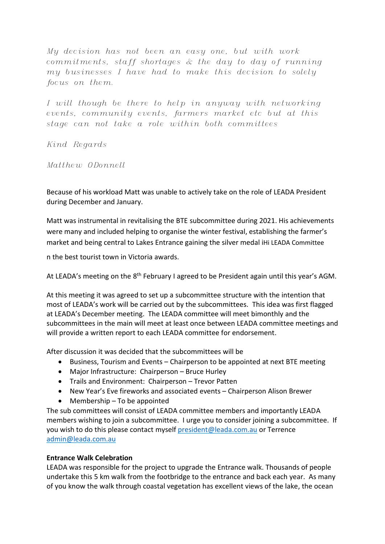*My decision has not been an easy one, but with work commitments, staff shortages & the day to day of running my businesses I have had to make this decision to solely focus on them.*

*I will though be there to help in anyway with networking events, community events, farmers market etc but at this stage can not take a role within both committees*

*Kind Regards*

*Matthew ODonnell*

Because of his workload Matt was unable to actively take on the role of LEADA President during December and January.

Matt was instrumental in revitalising the BTE subcommittee during 2021. His achievements were many and included helping to organise the winter festival, establishing the farmer's market and being central to Lakes Entrance gaining the silver medal iHi LEADA Committee

n the best tourist town in Victoria awards.

At LEADA's meeting on the 8<sup>th</sup> February I agreed to be President again until this year's AGM.

At this meeting it was agreed to set up a subcommittee structure with the intention that most of LEADA's work will be carried out by the subcommittees. This idea was first flagged at LEADA's December meeting. The LEADA committee will meet bimonthly and the subcommittees in the main will meet at least once between LEADA committee meetings and will provide a written report to each LEADA committee for endorsement.

After discussion it was decided that the subcommittees will be

- Business, Tourism and Events Chairperson to be appointed at next BTE meeting
- Major Infrastructure: Chairperson Bruce Hurley
- Trails and Environment: Chairperson Trevor Patten
- New Year's Eve fireworks and associated events Chairperson Alison Brewer
- Membership To be appointed

The sub committees will consist of LEADA committee members and importantly LEADA members wishing to join a subcommittee. I urge you to consider joining a subcommittee. If you wish to do this please contact myself [president@leada.com.au](mailto:president@leada.com.au) or Terrence [admin@leada.com.au](mailto:admin@leada.com.au)

## **Entrance Walk Celebration**

LEADA was responsible for the project to upgrade the Entrance walk. Thousands of people undertake this 5 km walk from the footbridge to the entrance and back each year. As many of you know the walk through coastal vegetation has excellent views of the lake, the ocean